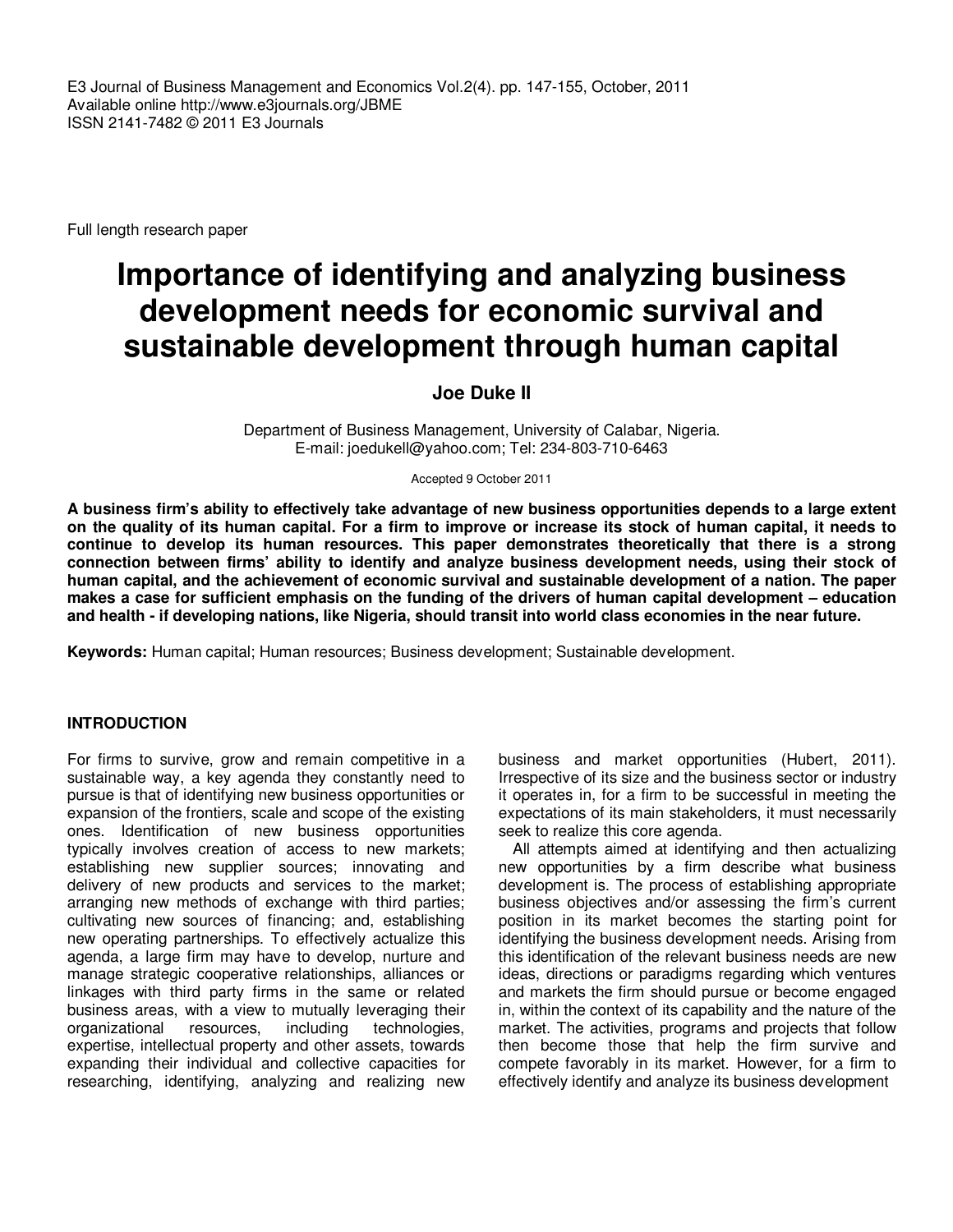E3 Journal of Business Management and Economics Vol.2(4). pp. 147-155, October, 2011 Available online http://www.e3journals.org/JBME ISSN 2141-7482 © 2011 E3 Journals

Full length research paper

# **Importance of identifying and analyzing business development needs for economic survival and sustainable development through human capital**

## **Joe Duke II**

Department of Business Management, University of Calabar, Nigeria. E-mail: joedukell@yahoo.com; Tel: 234-803-710-6463

Accepted 9 October 2011

**A business firm's ability to effectively take advantage of new business opportunities depends to a large extent on the quality of its human capital. For a firm to improve or increase its stock of human capital, it needs to continue to develop its human resources. This paper demonstrates theoretically that there is a strong connection between firms' ability to identify and analyze business development needs, using their stock of human capital, and the achievement of economic survival and sustainable development of a nation. The paper makes a case for sufficient emphasis on the funding of the drivers of human capital development – education and health - if developing nations, like Nigeria, should transit into world class economies in the near future.** 

**Keywords:** Human capital; Human resources; Business development; Sustainable development.

## **INTRODUCTION**

For firms to survive, grow and remain competitive in a sustainable way, a key agenda they constantly need to pursue is that of identifying new business opportunities or expansion of the frontiers, scale and scope of the existing ones. Identification of new business opportunities typically involves creation of access to new markets; establishing new supplier sources; innovating and delivery of new products and services to the market; arranging new methods of exchange with third parties; cultivating new sources of financing; and, establishing new operating partnerships. To effectively actualize this agenda, a large firm may have to develop, nurture and manage strategic cooperative relationships, alliances or linkages with third party firms in the same or related business areas, with a view to mutually leveraging their organizational resources, including technologies, expertise, intellectual property and other assets, towards expanding their individual and collective capacities for researching, identifying, analyzing and realizing new

business and market opportunities (Hubert, 2011). Irrespective of its size and the business sector or industry it operates in, for a firm to be successful in meeting the expectations of its main stakeholders, it must necessarily seek to realize this core agenda.

All attempts aimed at identifying and then actualizing new opportunities by a firm describe what business development is. The process of establishing appropriate business objectives and/or assessing the firm's current position in its market becomes the starting point for identifying the business development needs. Arising from this identification of the relevant business needs are new ideas, directions or paradigms regarding which ventures and markets the firm should pursue or become engaged in, within the context of its capability and the nature of the market. The activities, programs and projects that follow then become those that help the firm survive and compete favorably in its market. However, for a firm to effectively identify and analyze its business development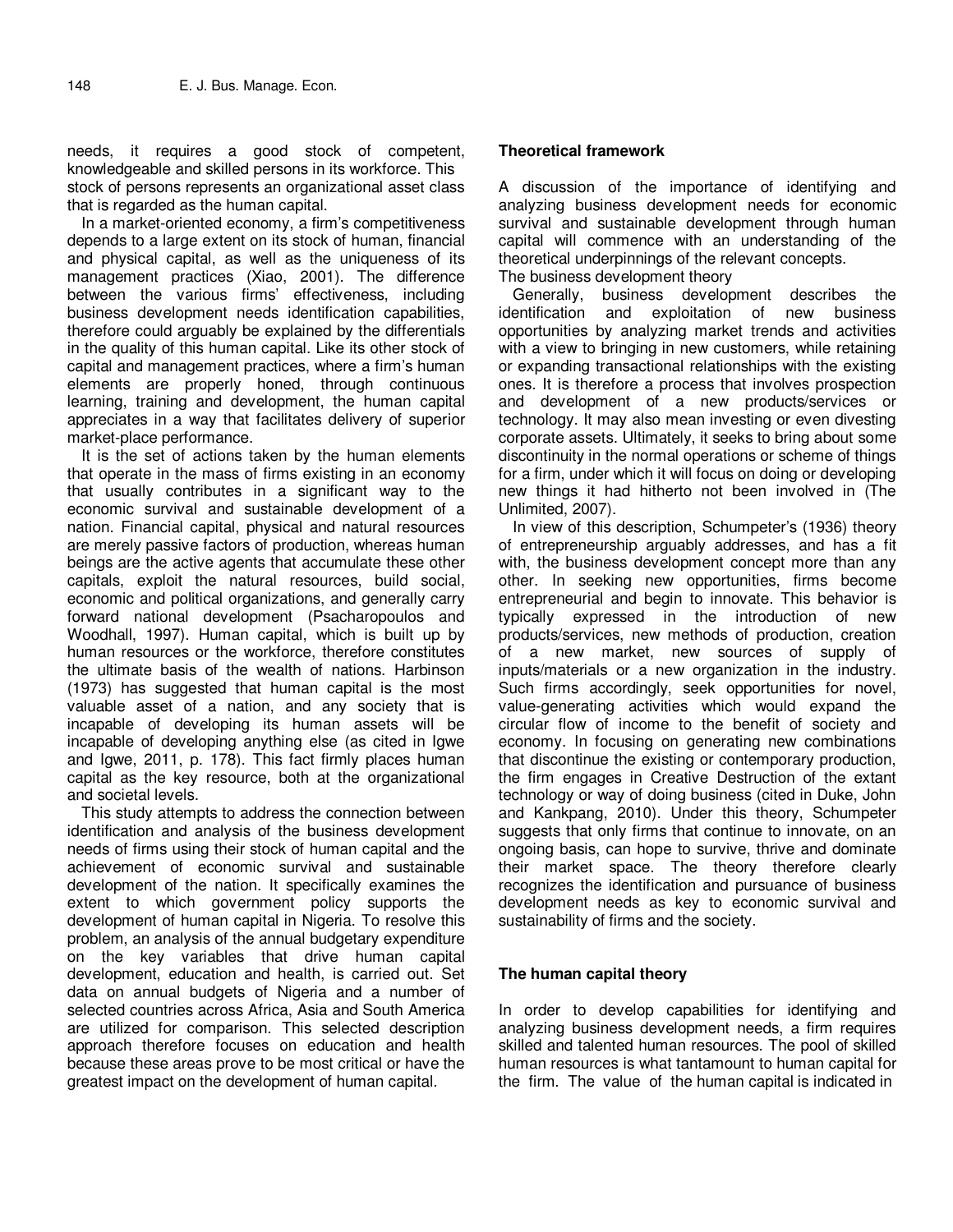needs, it requires a good stock of competent, knowledgeable and skilled persons in its workforce. This stock of persons represents an organizational asset class that is regarded as the human capital.

In a market-oriented economy, a firm's competitiveness depends to a large extent on its stock of human, financial and physical capital, as well as the uniqueness of its management practices (Xiao, 2001). The difference between the various firms' effectiveness, including business development needs identification capabilities, therefore could arguably be explained by the differentials in the quality of this human capital. Like its other stock of capital and management practices, where a firm's human elements are properly honed, through continuous learning, training and development, the human capital appreciates in a way that facilitates delivery of superior market-place performance.

It is the set of actions taken by the human elements that operate in the mass of firms existing in an economy that usually contributes in a significant way to the economic survival and sustainable development of a nation. Financial capital, physical and natural resources are merely passive factors of production, whereas human beings are the active agents that accumulate these other capitals, exploit the natural resources, build social, economic and political organizations, and generally carry forward national development (Psacharopoulos and Woodhall, 1997). Human capital, which is built up by human resources or the workforce, therefore constitutes the ultimate basis of the wealth of nations. Harbinson (1973) has suggested that human capital is the most valuable asset of a nation, and any society that is incapable of developing its human assets will be incapable of developing anything else (as cited in Igwe and Igwe, 2011, p. 178). This fact firmly places human capital as the key resource, both at the organizational and societal levels.

This study attempts to address the connection between identification and analysis of the business development needs of firms using their stock of human capital and the achievement of economic survival and sustainable development of the nation. It specifically examines the extent to which government policy supports the development of human capital in Nigeria. To resolve this problem, an analysis of the annual budgetary expenditure on the key variables that drive human capital development, education and health, is carried out. Set data on annual budgets of Nigeria and a number of selected countries across Africa, Asia and South America are utilized for comparison. This selected description approach therefore focuses on education and health because these areas prove to be most critical or have the greatest impact on the development of human capital.

## **Theoretical framework**

A discussion of the importance of identifying and analyzing business development needs for economic survival and sustainable development through human capital will commence with an understanding of the theoretical underpinnings of the relevant concepts. The business development theory

Generally, business development describes the identification and exploitation of new business opportunities by analyzing market trends and activities with a view to bringing in new customers, while retaining or expanding transactional relationships with the existing ones. It is therefore a process that involves prospection and development of a new products/services or technology. It may also mean investing or even divesting corporate assets. Ultimately, it seeks to bring about some discontinuity in the normal operations or scheme of things for a firm, under which it will focus on doing or developing new things it had hitherto not been involved in (The Unlimited, 2007).

In view of this description, Schumpeter's (1936) theory of entrepreneurship arguably addresses, and has a fit with, the business development concept more than any other. In seeking new opportunities, firms become entrepreneurial and begin to innovate. This behavior is typically expressed in the introduction of new products/services, new methods of production, creation of a new market, new sources of supply of inputs/materials or a new organization in the industry. Such firms accordingly, seek opportunities for novel, value-generating activities which would expand the circular flow of income to the benefit of society and economy. In focusing on generating new combinations that discontinue the existing or contemporary production, the firm engages in Creative Destruction of the extant technology or way of doing business (cited in Duke, John and Kankpang, 2010). Under this theory, Schumpeter suggests that only firms that continue to innovate, on an ongoing basis, can hope to survive, thrive and dominate their market space. The theory therefore clearly recognizes the identification and pursuance of business development needs as key to economic survival and sustainability of firms and the society.

## **The human capital theory**

In order to develop capabilities for identifying and analyzing business development needs, a firm requires skilled and talented human resources. The pool of skilled human resources is what tantamount to human capital for the firm. The value of the human capital is indicated in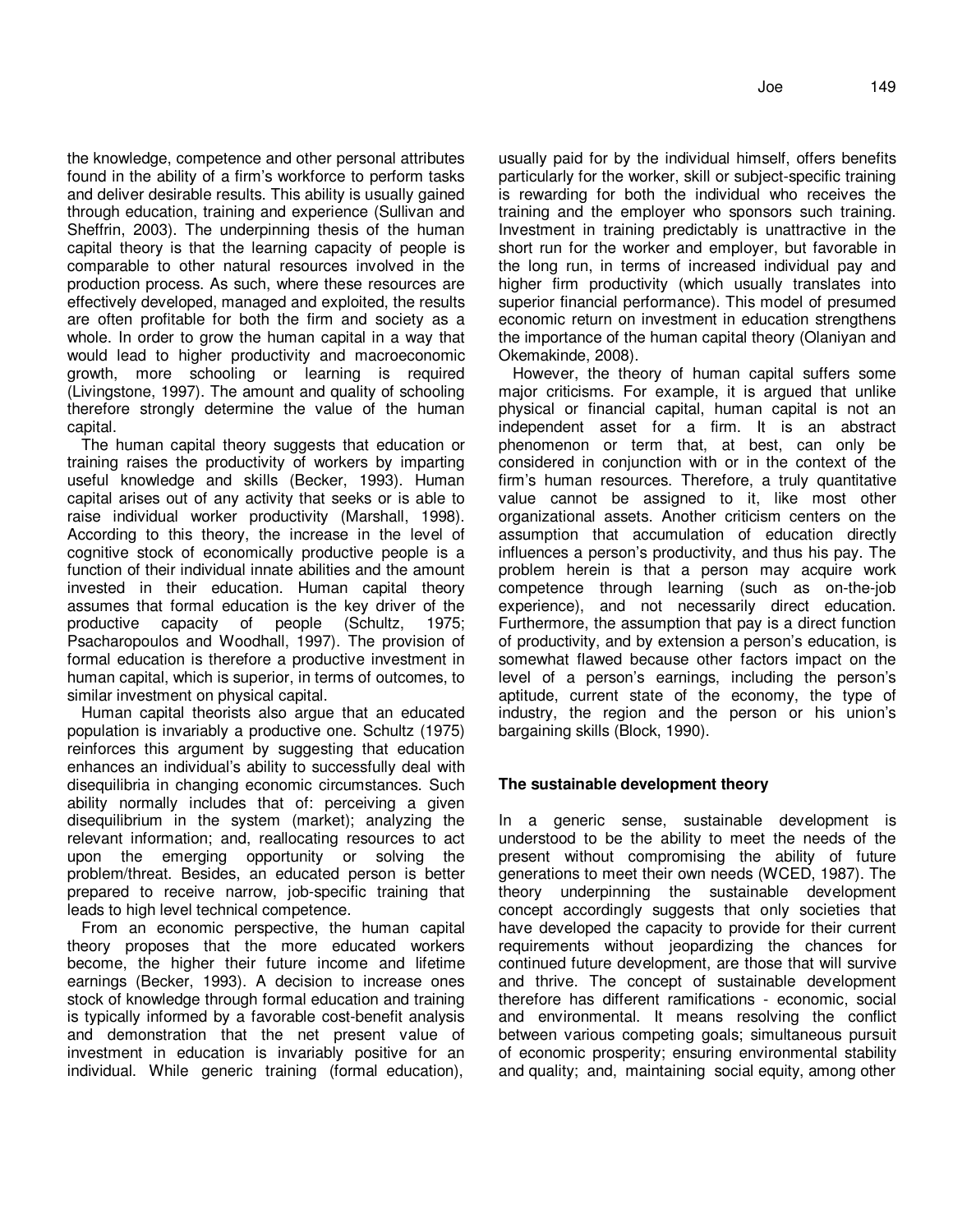the knowledge, competence and other personal attributes found in the ability of a firm's workforce to perform tasks and deliver desirable results. This ability is usually gained through education, training and experience (Sullivan and Sheffrin, 2003). The underpinning thesis of the human capital theory is that the learning capacity of people is comparable to other natural resources involved in the production process. As such, where these resources are effectively developed, managed and exploited, the results are often profitable for both the firm and society as a whole. In order to grow the human capital in a way that would lead to higher productivity and macroeconomic growth, more schooling or learning is required (Livingstone, 1997). The amount and quality of schooling therefore strongly determine the value of the human capital.

The human capital theory suggests that education or training raises the productivity of workers by imparting useful knowledge and skills (Becker, 1993). Human capital arises out of any activity that seeks or is able to raise individual worker productivity (Marshall, 1998). According to this theory, the increase in the level of cognitive stock of economically productive people is a function of their individual innate abilities and the amount invested in their education. Human capital theory assumes that formal education is the key driver of the productive capacity of people (Schultz, 1975; Psacharopoulos and Woodhall, 1997). The provision of formal education is therefore a productive investment in human capital, which is superior, in terms of outcomes, to similar investment on physical capital.

Human capital theorists also argue that an educated population is invariably a productive one. Schultz (1975) reinforces this argument by suggesting that education enhances an individual's ability to successfully deal with disequilibria in changing economic circumstances. Such ability normally includes that of: perceiving a given disequilibrium in the system (market); analyzing the relevant information; and, reallocating resources to act upon the emerging opportunity or solving the problem/threat. Besides, an educated person is better prepared to receive narrow, job-specific training that leads to high level technical competence.

From an economic perspective, the human capital theory proposes that the more educated workers become, the higher their future income and lifetime earnings (Becker, 1993). A decision to increase ones stock of knowledge through formal education and training is typically informed by a favorable cost-benefit analysis and demonstration that the net present value of investment in education is invariably positive for an individual. While generic training (formal education),

usually paid for by the individual himself, offers benefits particularly for the worker, skill or subject-specific training is rewarding for both the individual who receives the training and the employer who sponsors such training. Investment in training predictably is unattractive in the short run for the worker and employer, but favorable in the long run, in terms of increased individual pay and higher firm productivity (which usually translates into superior financial performance). This model of presumed economic return on investment in education strengthens the importance of the human capital theory (Olaniyan and Okemakinde, 2008).

However, the theory of human capital suffers some major criticisms. For example, it is argued that unlike physical or financial capital, human capital is not an independent asset for a firm. It is an abstract phenomenon or term that, at best, can only be considered in conjunction with or in the context of the firm's human resources. Therefore, a truly quantitative value cannot be assigned to it, like most other organizational assets. Another criticism centers on the assumption that accumulation of education directly influences a person's productivity, and thus his pay. The problem herein is that a person may acquire work competence through learning (such as on-the-job experience), and not necessarily direct education. Furthermore, the assumption that pay is a direct function of productivity, and by extension a person's education, is somewhat flawed because other factors impact on the level of a person's earnings, including the person's aptitude, current state of the economy, the type of industry, the region and the person or his union's bargaining skills (Block, 1990).

## **The sustainable development theory**

In a generic sense, sustainable development is understood to be the ability to meet the needs of the present without compromising the ability of future generations to meet their own needs (WCED, 1987). The theory underpinning the sustainable development concept accordingly suggests that only societies that have developed the capacity to provide for their current requirements without jeopardizing the chances for continued future development, are those that will survive and thrive. The concept of sustainable development therefore has different ramifications - economic, social and environmental. It means resolving the conflict between various competing goals; simultaneous pursuit of economic prosperity; ensuring environmental stability and quality; and, maintaining social equity, among other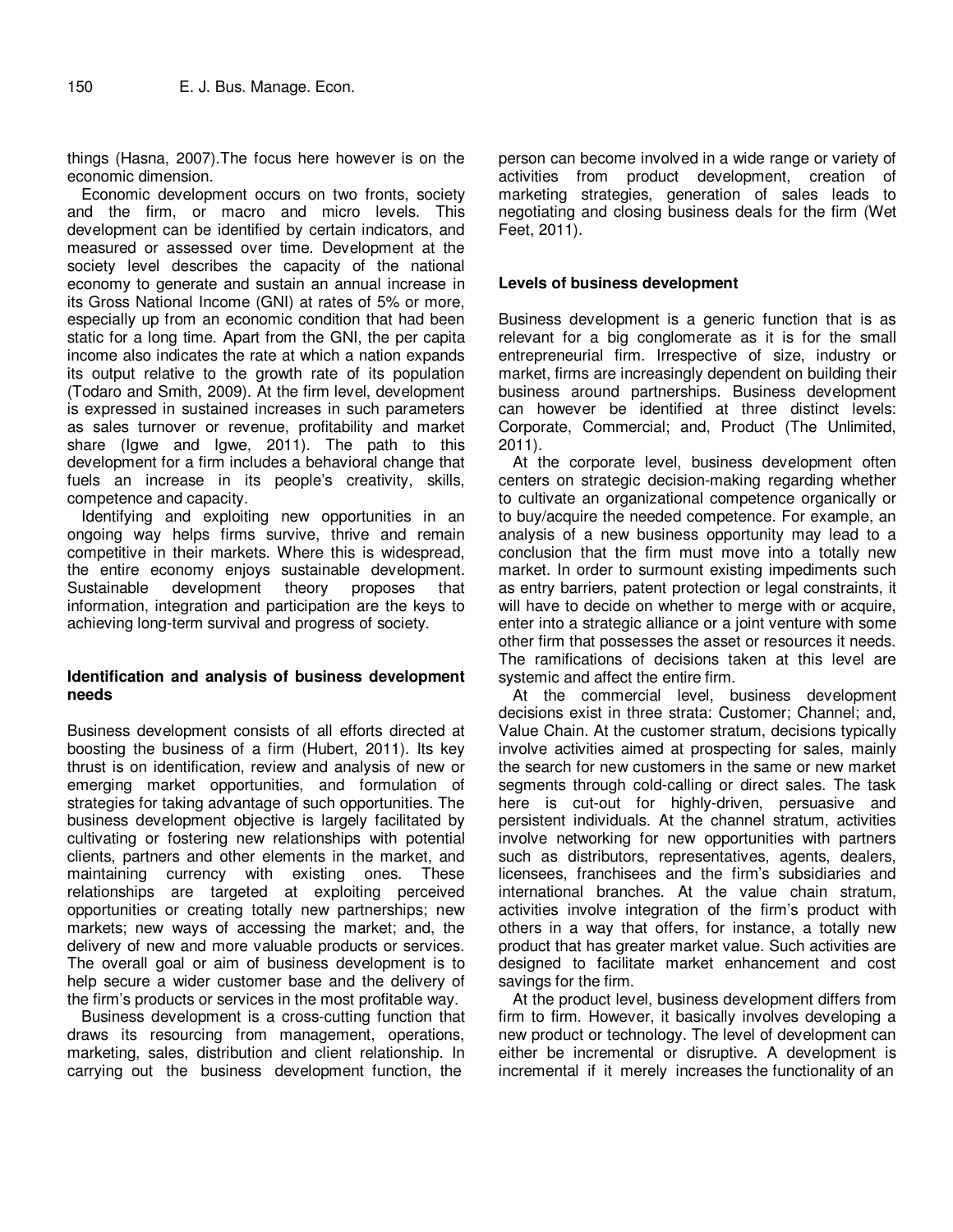things (Hasna, 2007).The focus here however is on the economic dimension.

Economic development occurs on two fronts, society and the firm, or macro and micro levels. This development can be identified by certain indicators, and measured or assessed over time. Development at the society level describes the capacity of the national economy to generate and sustain an annual increase in its Gross National Income (GNI) at rates of 5% or more, especially up from an economic condition that had been static for a long time. Apart from the GNI, the per capita income also indicates the rate at which a nation expands its output relative to the growth rate of its population (Todaro and Smith, 2009). At the firm level, development is expressed in sustained increases in such parameters as sales turnover or revenue, profitability and market share (Igwe and Igwe, 2011). The path to this development for a firm includes a behavioral change that fuels an increase in its people's creativity, skills, competence and capacity.

Identifying and exploiting new opportunities in an ongoing way helps firms survive, thrive and remain competitive in their markets. Where this is widespread, the entire economy enjoys sustainable development. Sustainable development theory proposes that information, integration and participation are the keys to achieving long-term survival and progress of society.

## **Identification and analysis of business development needs**

Business development consists of all efforts directed at boosting the business of a firm (Hubert, 2011). Its key thrust is on identification, review and analysis of new or emerging market opportunities, and formulation of strategies for taking advantage of such opportunities. The business development objective is largely facilitated by cultivating or fostering new relationships with potential clients, partners and other elements in the market, and maintaining currency with existing ones. These relationships are targeted at exploiting perceived opportunities or creating totally new partnerships; new markets; new ways of accessing the market; and, the delivery of new and more valuable products or services. The overall goal or aim of business development is to help secure a wider customer base and the delivery of the firm's products or services in the most profitable way.

Business development is a cross-cutting function that draws its resourcing from management, operations, marketing, sales, distribution and client relationship. In carrying out the business development function, the

person can become involved in a wide range or variety of activities from product development, creation of marketing strategies, generation of sales leads to negotiating and closing business deals for the firm (Wet Feet, 2011).

#### **Levels of business development**

Business development is a generic function that is as relevant for a big conglomerate as it is for the small entrepreneurial firm. Irrespective of size, industry or market, firms are increasingly dependent on building their business around partnerships. Business development can however be identified at three distinct levels: Corporate, Commercial; and, Product (The Unlimited, 2011).

At the corporate level, business development often centers on strategic decision-making regarding whether to cultivate an organizational competence organically or to buy/acquire the needed competence. For example, an analysis of a new business opportunity may lead to a conclusion that the firm must move into a totally new market. In order to surmount existing impediments such as entry barriers, patent protection or legal constraints, it will have to decide on whether to merge with or acquire, enter into a strategic alliance or a joint venture with some other firm that possesses the asset or resources it needs. The ramifications of decisions taken at this level are systemic and affect the entire firm.

At the commercial level, business development decisions exist in three strata: Customer; Channel; and, Value Chain. At the customer stratum, decisions typically involve activities aimed at prospecting for sales, mainly the search for new customers in the same or new market segments through cold-calling or direct sales. The task here is cut-out for highly-driven, persuasive and persistent individuals. At the channel stratum, activities involve networking for new opportunities with partners such as distributors, representatives, agents, dealers, licensees, franchisees and the firm's subsidiaries and international branches. At the value chain stratum, activities involve integration of the firm's product with others in a way that offers, for instance, a totally new product that has greater market value. Such activities are designed to facilitate market enhancement and cost savings for the firm.

At the product level, business development differs from firm to firm. However, it basically involves developing a new product or technology. The level of development can either be incremental or disruptive. A development is incremental if it merely increases the functionality of an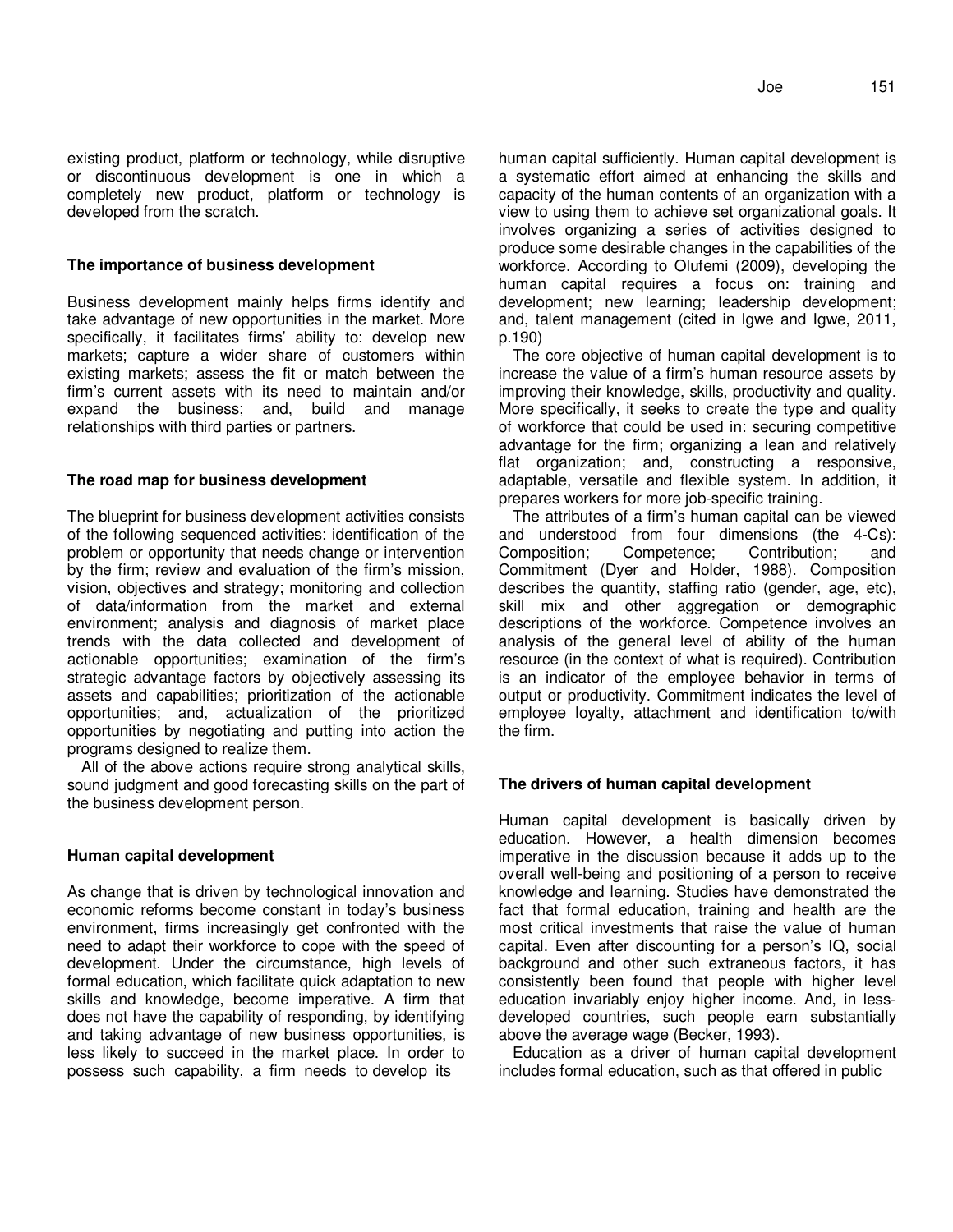## **The importance of business development**

Business development mainly helps firms identify and take advantage of new opportunities in the market. More specifically, it facilitates firms' ability to: develop new markets; capture a wider share of customers within existing markets; assess the fit or match between the firm's current assets with its need to maintain and/or expand the business; and, build and manage relationships with third parties or partners.

#### **The road map for business development**

The blueprint for business development activities consists of the following sequenced activities: identification of the problem or opportunity that needs change or intervention by the firm; review and evaluation of the firm's mission, vision, objectives and strategy; monitoring and collection of data/information from the market and external environment; analysis and diagnosis of market place trends with the data collected and development of actionable opportunities; examination of the firm's strategic advantage factors by objectively assessing its assets and capabilities; prioritization of the actionable opportunities; and, actualization of the prioritized opportunities by negotiating and putting into action the programs designed to realize them.

All of the above actions require strong analytical skills, sound judgment and good forecasting skills on the part of the business development person.

## **Human capital development**

As change that is driven by technological innovation and economic reforms become constant in today's business environment, firms increasingly get confronted with the need to adapt their workforce to cope with the speed of development. Under the circumstance, high levels of formal education, which facilitate quick adaptation to new skills and knowledge, become imperative. A firm that does not have the capability of responding, by identifying and taking advantage of new business opportunities, is less likely to succeed in the market place. In order to possess such capability, a firm needs to develop its

human capital sufficiently. Human capital development is a systematic effort aimed at enhancing the skills and capacity of the human contents of an organization with a view to using them to achieve set organizational goals. It involves organizing a series of activities designed to produce some desirable changes in the capabilities of the workforce. According to Olufemi (2009), developing the human capital requires a focus on: training and development; new learning; leadership development; and, talent management (cited in Igwe and Igwe, 2011, p.190)

The core objective of human capital development is to increase the value of a firm's human resource assets by improving their knowledge, skills, productivity and quality. More specifically, it seeks to create the type and quality of workforce that could be used in: securing competitive advantage for the firm; organizing a lean and relatively flat organization; and, constructing a responsive, adaptable, versatile and flexible system. In addition, it prepares workers for more job-specific training.

The attributes of a firm's human capital can be viewed and understood from four dimensions (the 4-Cs): Composition; Competence; Contribution; and Commitment (Dyer and Holder, 1988). Composition describes the quantity, staffing ratio (gender, age, etc), skill mix and other aggregation or demographic descriptions of the workforce. Competence involves an analysis of the general level of ability of the human resource (in the context of what is required). Contribution is an indicator of the employee behavior in terms of output or productivity. Commitment indicates the level of employee loyalty, attachment and identification to/with the firm.

#### **The drivers of human capital development**

Human capital development is basically driven by education. However, a health dimension becomes imperative in the discussion because it adds up to the overall well-being and positioning of a person to receive knowledge and learning. Studies have demonstrated the fact that formal education, training and health are the most critical investments that raise the value of human capital. Even after discounting for a person's IQ, social background and other such extraneous factors, it has consistently been found that people with higher level education invariably enjoy higher income. And, in lessdeveloped countries, such people earn substantially above the average wage (Becker, 1993).

Education as a driver of human capital development includes formal education, such as that offered in public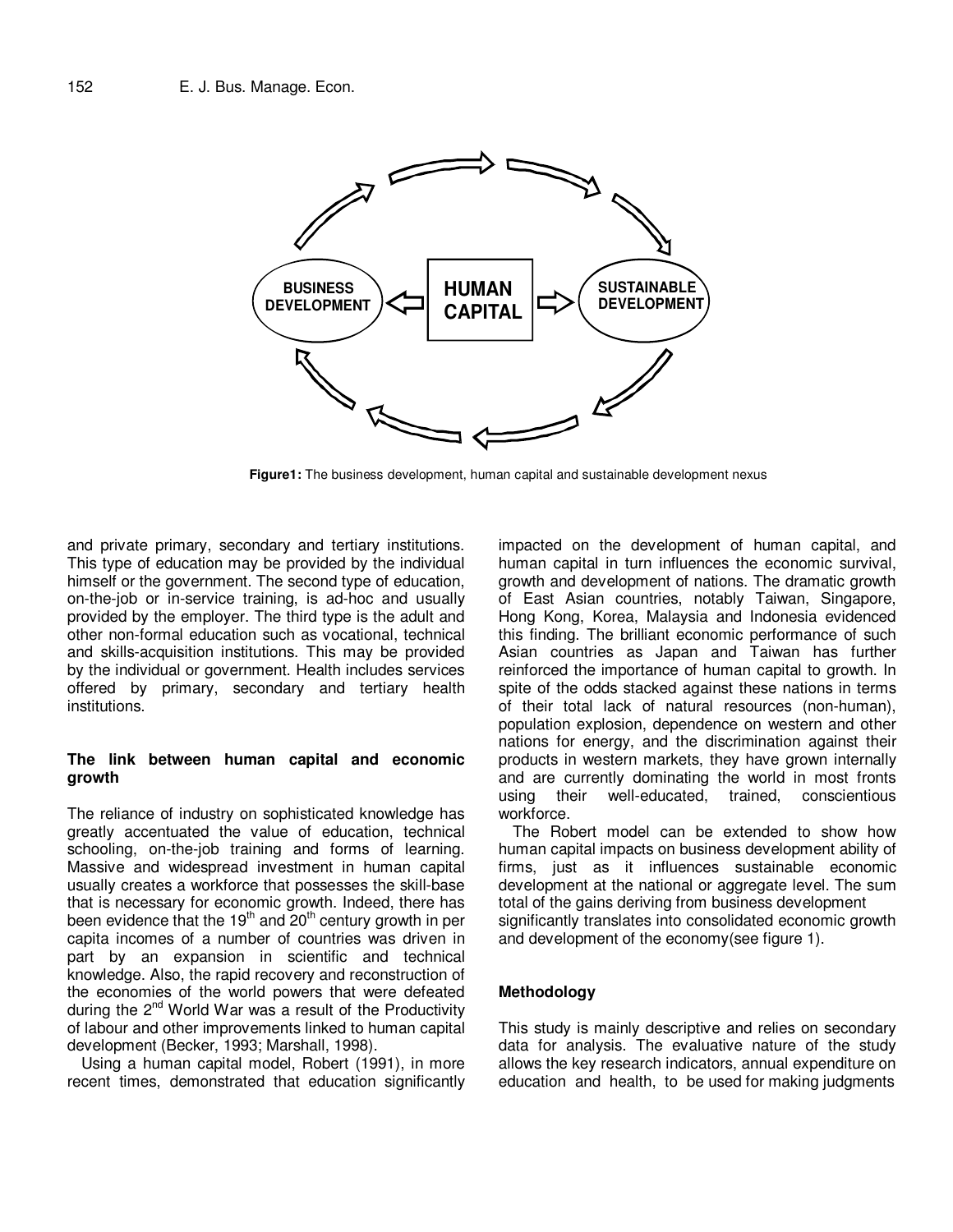

**Figure1:** The business development, human capital and sustainable development nexus

and private primary, secondary and tertiary institutions. This type of education may be provided by the individual himself or the government. The second type of education, on-the-job or in-service training, is ad-hoc and usually provided by the employer. The third type is the adult and other non-formal education such as vocational, technical and skills-acquisition institutions. This may be provided by the individual or government. Health includes services offered by primary, secondary and tertiary health institutions.

#### **The link between human capital and economic growth**

The reliance of industry on sophisticated knowledge has greatly accentuated the value of education, technical schooling, on-the-job training and forms of learning. Massive and widespread investment in human capital usually creates a workforce that possesses the skill-base that is necessary for economic growth. Indeed, there has been evidence that the  $19<sup>th</sup>$  and  $20<sup>th</sup>$  century growth in per capita incomes of a number of countries was driven in part by an expansion in scientific and technical knowledge. Also, the rapid recovery and reconstruction of the economies of the world powers that were defeated during the  $2^{nd}$  World War was a result of the Productivity of labour and other improvements linked to human capital development (Becker, 1993; Marshall, 1998).

Using a human capital model, Robert (1991), in more recent times, demonstrated that education significantly

impacted on the development of human capital, and human capital in turn influences the economic survival, growth and development of nations. The dramatic growth of East Asian countries, notably Taiwan, Singapore, Hong Kong, Korea, Malaysia and Indonesia evidenced this finding. The brilliant economic performance of such Asian countries as Japan and Taiwan has further reinforced the importance of human capital to growth. In spite of the odds stacked against these nations in terms of their total lack of natural resources (non-human), population explosion, dependence on western and other nations for energy, and the discrimination against their products in western markets, they have grown internally and are currently dominating the world in most fronts using their well-educated, trained, conscientious workforce.

The Robert model can be extended to show how human capital impacts on business development ability of firms, just as it influences sustainable economic development at the national or aggregate level. The sum total of the gains deriving from business development significantly translates into consolidated economic growth and development of the economy(see figure 1).

## **Methodology**

This study is mainly descriptive and relies on secondary data for analysis. The evaluative nature of the study allows the key research indicators, annual expenditure on education and health, to be used for making judgments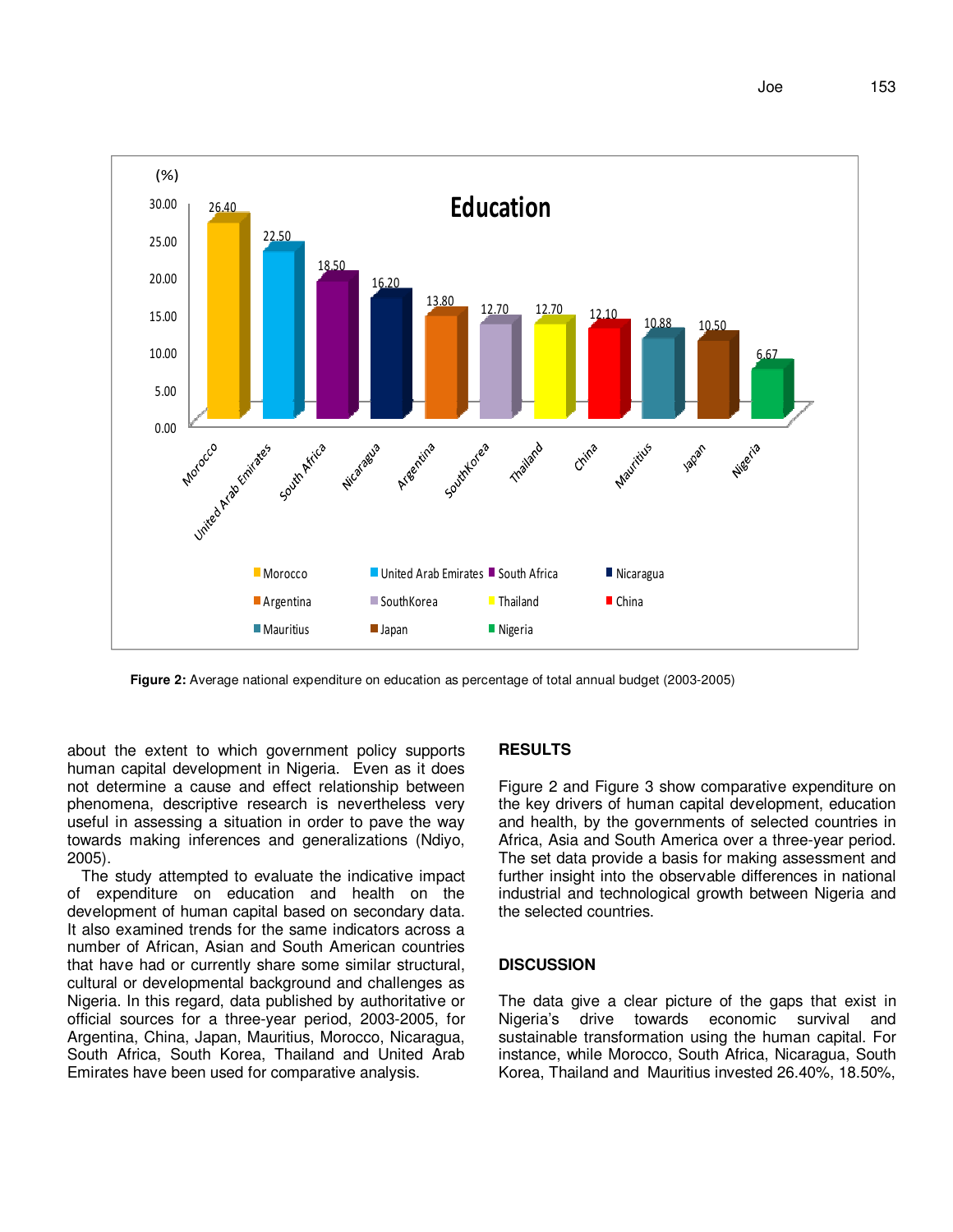

**Figure 2:** Average national expenditure on education as percentage of total annual budget (2003-2005)

about the extent to which government policy supports human capital development in Nigeria. Even as it does not determine a cause and effect relationship between phenomena, descriptive research is nevertheless very useful in assessing a situation in order to pave the way towards making inferences and generalizations (Ndiyo, 2005).

The study attempted to evaluate the indicative impact of expenditure on education and health on the development of human capital based on secondary data. It also examined trends for the same indicators across a number of African, Asian and South American countries that have had or currently share some similar structural, cultural or developmental background and challenges as Nigeria. In this regard, data published by authoritative or official sources for a three-year period, 2003-2005, for Argentina, China, Japan, Mauritius, Morocco, Nicaragua, South Africa, South Korea, Thailand and United Arab Emirates have been used for comparative analysis.

#### **RESULTS**

Figure 2 and Figure 3 show comparative expenditure on the key drivers of human capital development, education and health, by the governments of selected countries in Africa, Asia and South America over a three-year period. The set data provide a basis for making assessment and further insight into the observable differences in national industrial and technological growth between Nigeria and the selected countries.

#### **DISCUSSION**

The data give a clear picture of the gaps that exist in Nigeria's drive towards economic survival and sustainable transformation using the human capital. For instance, while Morocco, South Africa, Nicaragua, South Korea, Thailand and Mauritius invested 26.40%, 18.50%,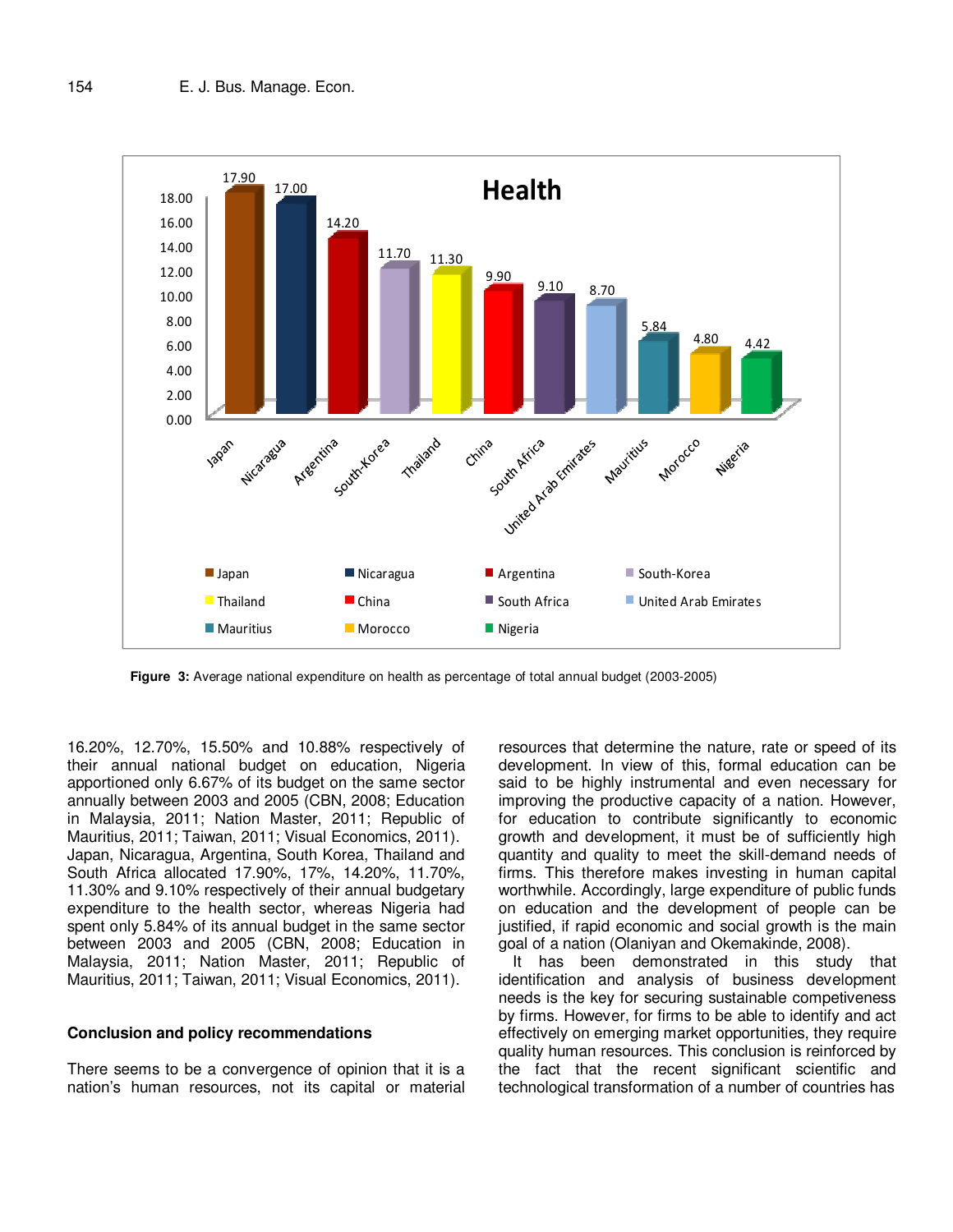

**Figure 3:** Average national expenditure on health as percentage of total annual budget (2003-2005)

16.20%, 12.70%, 15.50% and 10.88% respectively of their annual national budget on education, Nigeria apportioned only 6.67% of its budget on the same sector annually between 2003 and 2005 (CBN, 2008; Education in Malaysia, 2011; Nation Master, 2011; Republic of Mauritius, 2011; Taiwan, 2011; Visual Economics, 2011). Japan, Nicaragua, Argentina, South Korea, Thailand and South Africa allocated 17.90%, 17%, 14.20%, 11.70%, 11.30% and 9.10% respectively of their annual budgetary expenditure to the health sector, whereas Nigeria had spent only 5.84% of its annual budget in the same sector between 2003 and 2005 (CBN, 2008; Education in Malaysia, 2011; Nation Master, 2011; Republic of Mauritius, 2011; Taiwan, 2011; Visual Economics, 2011).

#### **Conclusion and policy recommendations**

There seems to be a convergence of opinion that it is a nation's human resources, not its capital or material

resources that determine the nature, rate or speed of its development. In view of this, formal education can be said to be highly instrumental and even necessary for improving the productive capacity of a nation. However, for education to contribute significantly to economic growth and development, it must be of sufficiently high quantity and quality to meet the skill-demand needs of firms. This therefore makes investing in human capital worthwhile. Accordingly, large expenditure of public funds on education and the development of people can be justified, if rapid economic and social growth is the main goal of a nation (Olaniyan and Okemakinde, 2008).

It has been demonstrated in this study that identification and analysis of business development needs is the key for securing sustainable competiveness by firms. However, for firms to be able to identify and act effectively on emerging market opportunities, they require quality human resources. This conclusion is reinforced by the fact that the recent significant scientific and technological transformation of a number of countries has